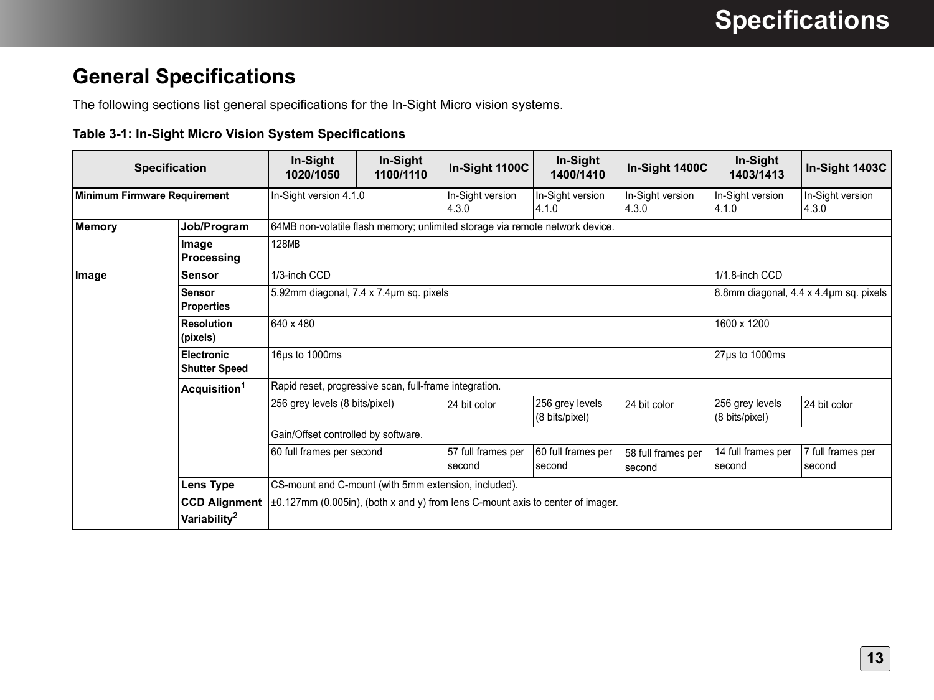## **General Specifications**

The following sections list general specifications for the In-Sight Micro vision systems.

## **Table 3-1: In-Sight Micro Vision System Specifications**

| <b>Specification</b>                |                                                  | In-Sight<br>1020/1050                                                                | In-Sight<br>1100/1110 | In-Sight 1100C                         | In-Sight<br>1400/1410             | In-Sight 1400C               | In-Sight<br>1403/1413             | In-Sight 1403C              |  |
|-------------------------------------|--------------------------------------------------|--------------------------------------------------------------------------------------|-----------------------|----------------------------------------|-----------------------------------|------------------------------|-----------------------------------|-----------------------------|--|
| <b>Minimum Firmware Requirement</b> |                                                  | In-Sight version 4.1.0                                                               |                       | In-Sight version<br>4.3.0              | In-Sight version<br>4.1.0         | In-Sight version<br>4.3.0    | In-Sight version<br>4.1.0         | In-Sight version<br>4.3.0   |  |
| <b>Memory</b>                       | Job/Program                                      | 64MB non-volatile flash memory; unlimited storage via remote network device.         |                       |                                        |                                   |                              |                                   |                             |  |
|                                     | Image<br>Processing                              | 128MB                                                                                |                       |                                        |                                   |                              |                                   |                             |  |
| Image                               | <b>Sensor</b>                                    | 1/3-inch CCD                                                                         |                       |                                        |                                   |                              | 1/1.8-inch CCD                    |                             |  |
|                                     | <b>Sensor</b><br><b>Properties</b>               | 5.92mm diagonal, 7.4 x 7.4um sq. pixels                                              |                       | 8.8mm diagonal, 4.4 x 4.4um sq. pixels |                                   |                              |                                   |                             |  |
|                                     | <b>Resolution</b><br>(pixels)                    | 640 x 480                                                                            |                       |                                        |                                   |                              | 1600 x 1200                       |                             |  |
|                                     | <b>Electronic</b><br><b>Shutter Speed</b>        | 16us to 1000ms                                                                       |                       |                                        |                                   |                              | 27µs to 1000ms                    |                             |  |
|                                     | Acquisition <sup>1</sup>                         | Rapid reset, progressive scan, full-frame integration.                               |                       |                                        |                                   |                              |                                   |                             |  |
|                                     |                                                  | 256 grey levels (8 bits/pixel)                                                       |                       | 24 bit color                           | 256 grey levels<br>(8 bits/pixel) | 24 bit color                 | 256 grey levels<br>(8 bits/pixel) | 24 bit color                |  |
|                                     |                                                  | Gain/Offset controlled by software.                                                  |                       |                                        |                                   |                              |                                   |                             |  |
|                                     |                                                  | 60 full frames per second                                                            |                       | 57 full frames per<br>second           | 60 full frames per<br>second      | 58 full frames per<br>second | 14 full frames per<br>second      | 7 full frames per<br>second |  |
|                                     | Lens Type                                        | CS-mount and C-mount (with 5mm extension, included).                                 |                       |                                        |                                   |                              |                                   |                             |  |
|                                     | <b>CCD Alignment</b><br>Variability <sup>2</sup> | $\pm 0.127$ mm (0.005in), (both x and y) from lens C-mount axis to center of imager. |                       |                                        |                                   |                              |                                   |                             |  |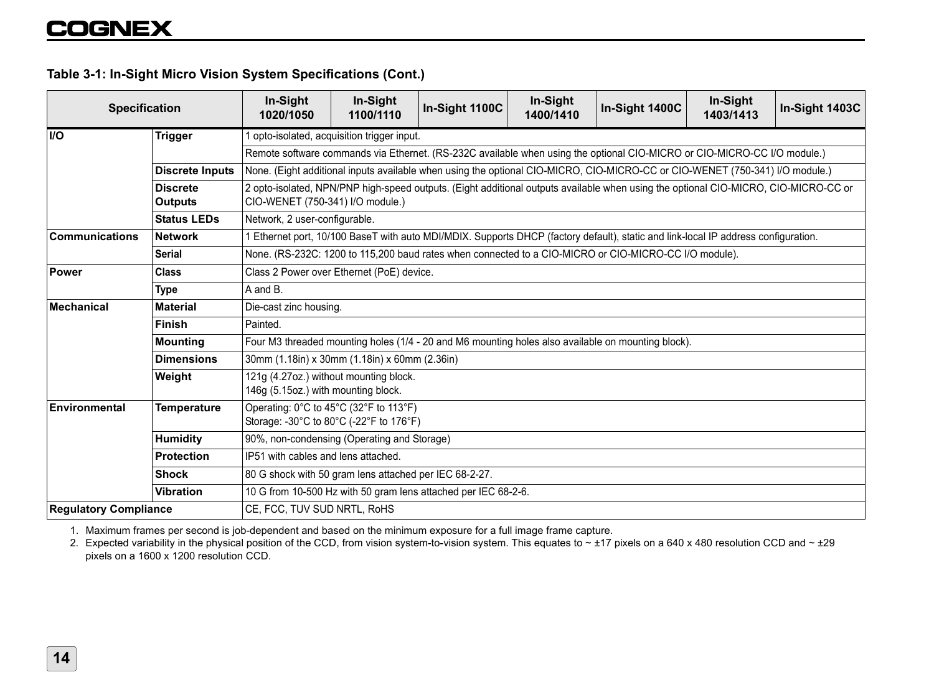## **Table 3-1: In-Sight Micro Vision System Specifications (Cont.)**

| <b>Specification</b>         |                                   | In-Sight<br>1020/1050                                                                                                                                                   | In-Sight<br>1100/1110 | In-Sight 1100C | In-Sight<br>1400/1410 | In-Sight 1400C | In-Sight<br>1403/1413 | In-Sight 1403C |  |  |
|------------------------------|-----------------------------------|-------------------------------------------------------------------------------------------------------------------------------------------------------------------------|-----------------------|----------------|-----------------------|----------------|-----------------------|----------------|--|--|
| <b>I/O</b>                   | <b>Trigger</b>                    | opto-isolated, acquisition trigger input.                                                                                                                               |                       |                |                       |                |                       |                |  |  |
|                              |                                   | Remote software commands via Ethernet. (RS-232C available when using the optional CIO-MICRO or CIO-MICRO-CC I/O module.)                                                |                       |                |                       |                |                       |                |  |  |
|                              | <b>Discrete Inputs</b>            | None. (Eight additional inputs available when using the optional CIO-MICRO, CIO-MICRO-CC or CIO-WENET (750-341) I/O module.)                                            |                       |                |                       |                |                       |                |  |  |
|                              | <b>Discrete</b><br><b>Outputs</b> | 2 opto-isolated, NPN/PNP high-speed outputs. (Eight additional outputs available when using the optional CIO-MICRO, CIO-MICRO-CC or<br>CIO-WENET (750-341) I/O module.) |                       |                |                       |                |                       |                |  |  |
|                              | <b>Status LEDs</b>                | Network, 2 user-configurable.                                                                                                                                           |                       |                |                       |                |                       |                |  |  |
| <b>Communications</b>        | <b>Network</b>                    | Ethernet port, 10/100 BaseT with auto MDI/MDIX. Supports DHCP (factory default), static and link-local IP address configuration.                                        |                       |                |                       |                |                       |                |  |  |
|                              | <b>Serial</b>                     | None. (RS-232C: 1200 to 115,200 baud rates when connected to a CIO-MICRO or CIO-MICRO-CC I/O module).                                                                   |                       |                |                       |                |                       |                |  |  |
| <b>Power</b>                 | <b>Class</b>                      | Class 2 Power over Ethernet (PoE) device.                                                                                                                               |                       |                |                       |                |                       |                |  |  |
|                              | <b>Type</b>                       | A and B.                                                                                                                                                                |                       |                |                       |                |                       |                |  |  |
| <b>Mechanical</b>            | <b>Material</b>                   | Die-cast zinc housing.                                                                                                                                                  |                       |                |                       |                |                       |                |  |  |
|                              | <b>Finish</b>                     | Painted.                                                                                                                                                                |                       |                |                       |                |                       |                |  |  |
|                              | <b>Mounting</b>                   | Four M3 threaded mounting holes (1/4 - 20 and M6 mounting holes also available on mounting block).                                                                      |                       |                |                       |                |                       |                |  |  |
|                              | <b>Dimensions</b>                 | 30mm (1.18in) x 30mm (1.18in) x 60mm (2.36in)                                                                                                                           |                       |                |                       |                |                       |                |  |  |
|                              | Weight                            | 121g (4.27oz.) without mounting block.<br>146g (5.15oz.) with mounting block.                                                                                           |                       |                |                       |                |                       |                |  |  |
| Environmental                | <b>Temperature</b>                | Operating: 0°C to 45°C (32°F to 113°F)<br>Storage: -30°C to 80°C (-22°F to 176°F)                                                                                       |                       |                |                       |                |                       |                |  |  |
|                              | <b>Humidity</b>                   | 90%, non-condensing (Operating and Storage)                                                                                                                             |                       |                |                       |                |                       |                |  |  |
|                              | <b>Protection</b>                 | IP51 with cables and lens attached.                                                                                                                                     |                       |                |                       |                |                       |                |  |  |
|                              | <b>Shock</b>                      | 80 G shock with 50 gram lens attached per IEC 68-2-27.                                                                                                                  |                       |                |                       |                |                       |                |  |  |
|                              | <b>Vibration</b>                  | 10 G from 10-500 Hz with 50 gram lens attached per IEC 68-2-6.                                                                                                          |                       |                |                       |                |                       |                |  |  |
| <b>Requlatory Compliance</b> |                                   | CE, FCC, TUV SUD NRTL, RoHS                                                                                                                                             |                       |                |                       |                |                       |                |  |  |

1. Maximum frames per second is job-dependent and based on the minimum exposure for a full image frame capture.

2. Expected variability in the physical position of the CCD, from vision system-to-vision system. This equates to ~ ±17 pixels on a 640 x 480 resolution CCD and ~ ±29 pixels on a 1600 x 1200 resolution CCD.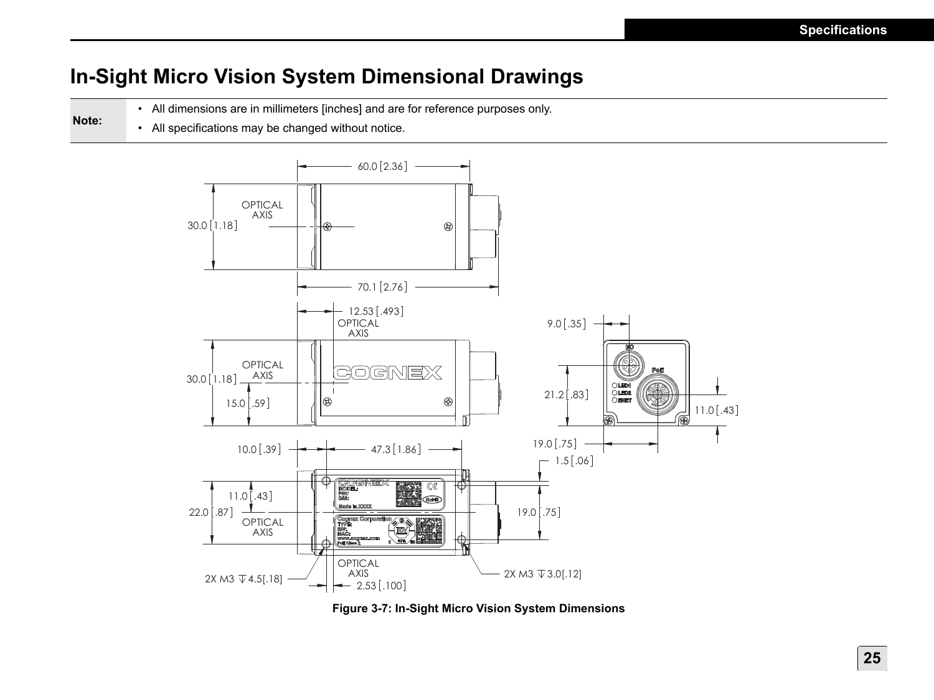## **In-Sight Micro Vision System Dimensional Drawings**

- All dimensions are in millimeters [inches] and are for reference purposes only.
- All specifications may be changed without notice.

**Note:**



**Figure 3-7: In-Sight Micro Vision System Dimensions**